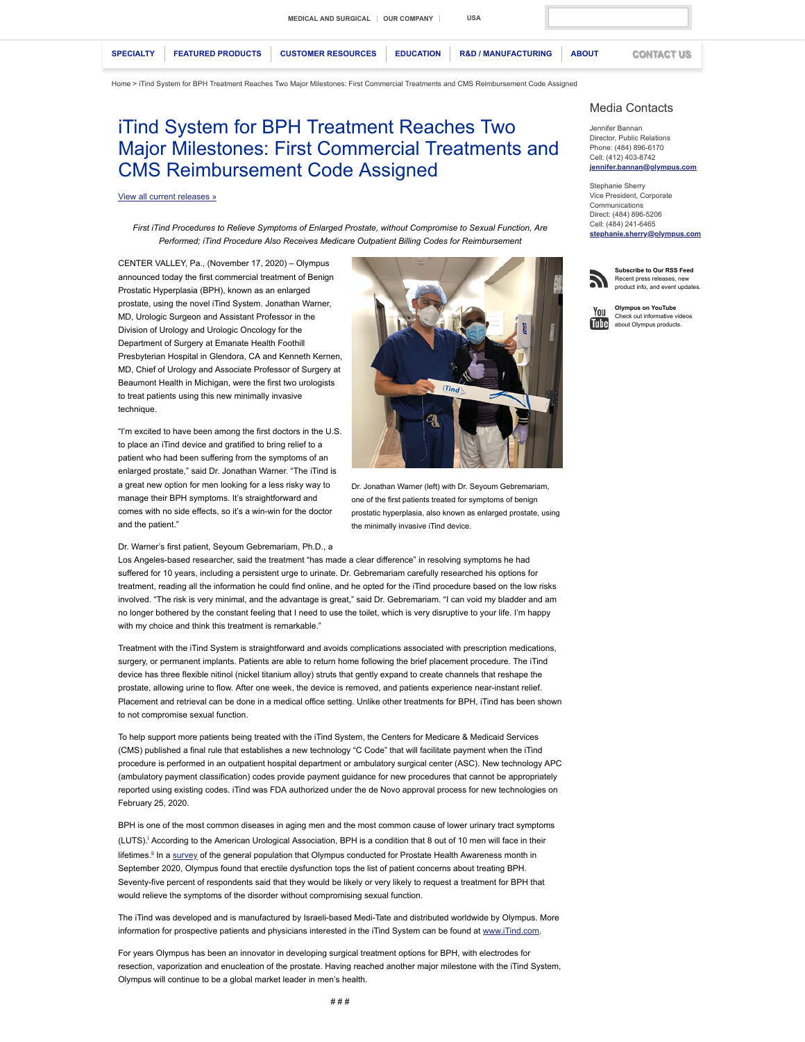[Home](https://medical.olympusamerica.com/) > iTind System for BPH Treatment Reaches Two Major Milestones: First Commercial Treatments and CMS Reimbursement Code Assigned

## iTind System for BPH Treatment Reaches Two Major Milestones: First Commercial Treatments and CMS Reimbursement Code Assigned

## [View all current releases »](https://medical.olympusamerica.com/about/press-center/press-releases)

*First iTind Procedures to Relieve Symptoms of Enlarged Prostate, without Compromise to Sexual Function, Are Performed; iTind Procedure Also Receives Medicare Outpatient Billing Codes for Reimbursement*

CENTER VALLEY, Pa., (November 17, 2020) – Olympus announced today the first commercial treatment of Benign Prostatic Hyperplasia (BPH), known as an enlarged prostate, using the novel iTind System. Jonathan Warner, MD, Urologic Surgeon and Assistant Professor in the Division of Urology and Urologic Oncology for the Department of Surgery at Emanate Health Foothill Presbyterian Hospital in Glendora, CA and Kenneth Kernen, MD, Chief of Urology and Associate Professor of Surgery at Beaumont Health in Michigan, were the first two urologists to treat patients using this new minimally invasive technique

"I'm excited to have been among the first doctors in the U.S. to place an iTind device and gratified to bring relief to a patient who had been suffering from the symptoms of an enlarged prostate," said Dr. Jonathan Warner. "The iTind is a great new option for men looking for a less risky way to manage their BPH symptoms. It's straightforward and comes with no side effects, so it's a win-win for the doctor and the patient."

Dr. Warner's first patient, Seyoum Gebremariam, Ph.D., a

Los Angeles-based researcher, said the treatment "has made a clear difference" in resolving symptoms he had suffered for 10 years, including a persistent urge to urinate. Dr. Gebremariam carefully researched his options for treatment, reading all the information he could find online, and he opted for the iTind procedure based on the low risks involved. "The risk is very minimal, and the advantage is great," said Dr. Gebremariam. "I can void my bladder and am no longer bothered by the constant feeling that I need to use the toilet, which is very disruptive to your life. I'm happy with my choice and think this treatment is remarkable."

Dr. Jonathan Warner (left) with Dr. Seyoum Gebremariam, one of the first patients treated for symptoms of benign prostatic hyperplasia, also known as enlarged prostate, using

A

the minimally invasive iTind device.

Treatment with the iTind System is straightforward and avoids complications associated with prescription medications, surgery, or permanent implants. Patients are able to return home following the brief placement procedure. The iTind device has three flexible nitinol (nickel titanium alloy) struts that gently expand to create channels that reshape the prostate, allowing urine to flow. After one week, the device is removed, and patients experience near-instant relief. Placement and retrieval can be done in a medical office setting. Unlike other treatments for BPH, iTind has been shown to not compromise sexual function.

To help support more patients being treated with the iTind System, the Centers for Medicare & Medicaid Services (CMS) published a final rule that establishes a new technology "C Code" that will facilitate payment when the iTind procedure is performed in an outpatient hospital department or ambulatory surgical center (ASC). New technology APC (ambulatory payment classification) codes provide payment guidance for new procedures that cannot be appropriately reported using existing codes. iTind was FDA authorized under the de Novo approval process for new technologies on February 25, 2020.

BPH is one of the most common diseases in aging men and the most common cause of lower urinary tract symptoms (LUTS).<sup>i</sup> According to the American Urological Association, BPH is a condition that 8 out of 10 men will face in their lifetimes.<sup>ii</sup> In a [survey](https://cache.olympusamerica.com/static/zones/files/2020/Prostate_Health_Month_Graphics.pdf) of the general population that Olympus conducted for Prostate Health Awareness month in September 2020, Olympus found that erectile dysfunction tops the list of patient concerns about treating BPH. Seventy-five percent of respondents said that they would be likely or very likely to request a treatment for BPH that would relieve the symptoms of the disorder without compromising sexual function.

The iTind was developed and is manufactured by Israeli-based Medi-Tate and distributed worldwide by Olympus. More information for prospective patients and physicians interested in the iTind System can be found at [www.iTind.com](http://www.itind.com/).

For years Olympus has been an innovator in developing surgical treatment options for BPH, with electrodes for resection, vaporization and enucleation of the prostate. Having reached another major milestone with the iTind System, Olympus will continue to be a global market leader in men's health.



Jennifer Bannan Director, Public Relations Phone: (484) 896-6170 Cell: (412) 403-8742 **jennifer.bannan@oly** 

Stephanie Sherry Vice President, Corporate Communications Direct: (484) 896-5206 Cell: (484) 241-6465 **[stephanie.sherry@olympus.com](mailto:stephanie.sherry@olympus.com)**



**Subscribe to Our RSS Feed** Recent press releases, new product info, and event updates.